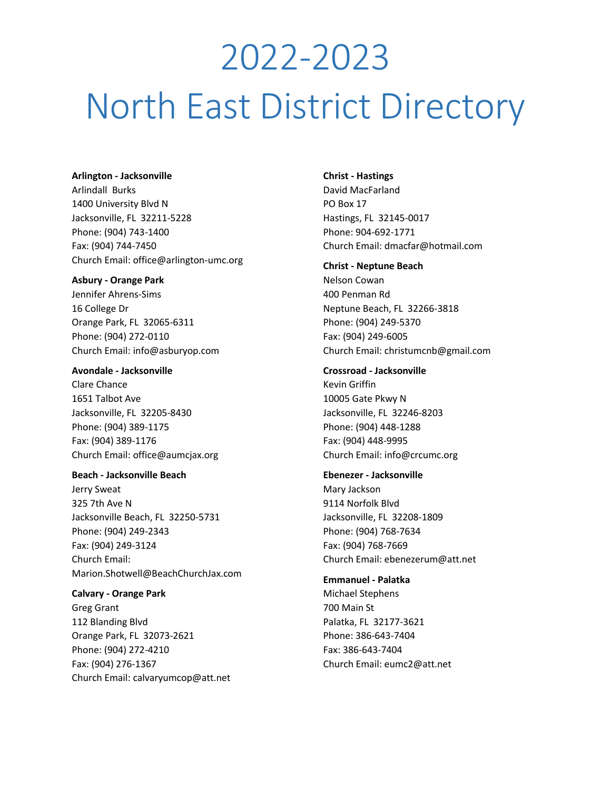# 2022-2023 North East District Directory

### **Arlington - Jacksonville**

Arlindall Burks 1400 University Blvd N Jacksonville, FL 32211-5228 Phone: (904) 743-1400 Fax: (904) 744-7450 Church Email: office@arlington-umc.org

### **Asbury - Orange Park**

Jennifer Ahrens-Sims 16 College Dr Orange Park, FL 32065-6311 Phone: (904) 272-0110 Church Email: info@asburyop.com

### **Avondale - Jacksonville**

Clare Chance 1651 Talbot Ave Jacksonville, FL 32205-8430 Phone: (904) 389-1175 Fax: (904) 389-1176 Church Email: office@aumcjax.org

### **Beach - Jacksonville Beach**

Jerry Sweat 325 7th Ave N Jacksonville Beach, FL 32250-5731 Phone: (904) 249-2343 Fax: (904) 249-3124 Church Email: Marion.Shotwell@BeachChurchJax.com

**Calvary - Orange Park** Greg Grant 112 Blanding Blvd Orange Park, FL 32073-2621 Phone: (904) 272-4210 Fax: (904) 276-1367 Church Email: calvaryumcop@att.net

### **Christ - Hastings**

David MacFarland PO Box 17 Hastings, FL 32145-0017 Phone: 904-692-1771 Church Email: dmacfar@hotmail.com

### **Christ - Neptune Beach**

Nelson Cowan 400 Penman Rd Neptune Beach, FL 32266-3818 Phone: (904) 249-5370 Fax: (904) 249-6005 Church Email: christumcnb@gmail.com

### **Crossroad - Jacksonville**

Kevin Griffin 10005 Gate Pkwy N Jacksonville, FL 32246-8203 Phone: (904) 448-1288 Fax: (904) 448-9995 Church Email: info@crcumc.org

# **Ebenezer - Jacksonville** Mary Jackson 9114 Norfolk Blvd Jacksonville, FL 32208-1809 Phone: (904) 768-7634 Fax: (904) 768-7669 Church Email: ebenezerum@att.net

**Emmanuel - Palatka** Michael Stephens 700 Main St Palatka, FL 32177-3621 Phone: 386-643-7404 Fax: 386-643-7404 Church Email: eumc2@att.net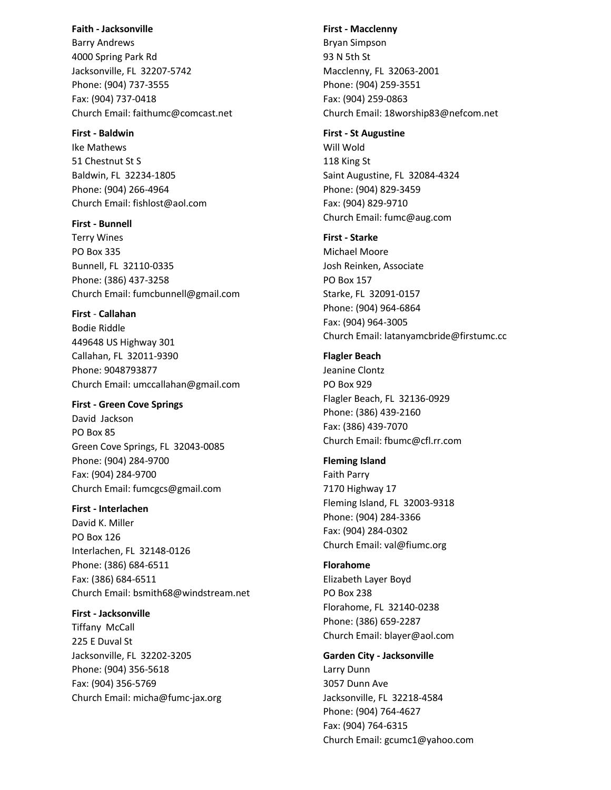### **Faith - Jacksonville**

Barry Andrews 4000 Spring Park Rd Jacksonville, FL 32207-5742 Phone: (904) 737-3555 Fax: (904) 737-0418 Church Email: faithumc@comcast.net

### **First - Baldwin**

Ike Mathews 51 Chestnut St S Baldwin, FL 32234-1805 Phone: (904) 266-4964 Church Email: fishlost@aol.com

**First - Bunnell** Terry Wines PO Box 335 Bunnell, FL 32110-0335 Phone: (386) 437-3258 Church Email: fumcbunnell@gmail.com

**First** - **Callahan** Bodie Riddle 449648 US Highway 301 Callahan, FL 32011-9390 Phone: 9048793877 Church Email: umccallahan@gmail.com

**First - Green Cove Springs** David Jackson PO Box 85 Green Cove Springs, FL 32043-0085 Phone: (904) 284-9700 Fax: (904) 284-9700 Church Email: fumcgcs@gmail.com

**First - Interlachen** David K. Miller PO Box 126 Interlachen, FL 32148-0126 Phone: (386) 684-6511 Fax: (386) 684-6511 Church Email: bsmith68@windstream.net

**First - Jacksonville** Tiffany McCall 225 E Duval St Jacksonville, FL 32202-3205 Phone: (904) 356-5618 Fax: (904) 356-5769 Church Email: micha@fumc-jax.org

### **First - Macclenny**

Bryan Simpson 93 N 5th St Macclenny, FL 32063-2001 Phone: (904) 259-3551 Fax: (904) 259-0863 Church Email: 18worship83@nefcom.net

### **First - St Augustine**

Will Wold 118 King St Saint Augustine, FL 32084-4324 Phone: (904) 829-3459 Fax: (904) 829-9710 Church Email: fumc@aug.com

### **First - Starke**

Michael Moore Josh Reinken, Associate PO Box 157 Starke, FL 32091-0157 Phone: (904) 964-6864 Fax: (904) 964-3005 Church Email: latanyamcbride@firstumc.cc

### **Flagler Beach**

Jeanine Clontz PO Box 929 Flagler Beach, FL 32136-0929 Phone: (386) 439-2160 Fax: (386) 439-7070 Church Email: fbumc@cfl.rr.com

### **Fleming Island**

Faith Parry 7170 Highway 17 Fleming Island, FL 32003-9318 Phone: (904) 284-3366 Fax: (904) 284-0302 Church Email: val@fiumc.org

### **Florahome**

Elizabeth Layer Boyd PO Box 238 Florahome, FL 32140-0238 Phone: (386) 659-2287 Church Email: blayer@aol.com

### **Garden City - Jacksonville**

Larry Dunn 3057 Dunn Ave Jacksonville, FL 32218-4584 Phone: (904) 764-4627 Fax: (904) 764-6315 Church Email: gcumc1@yahoo.com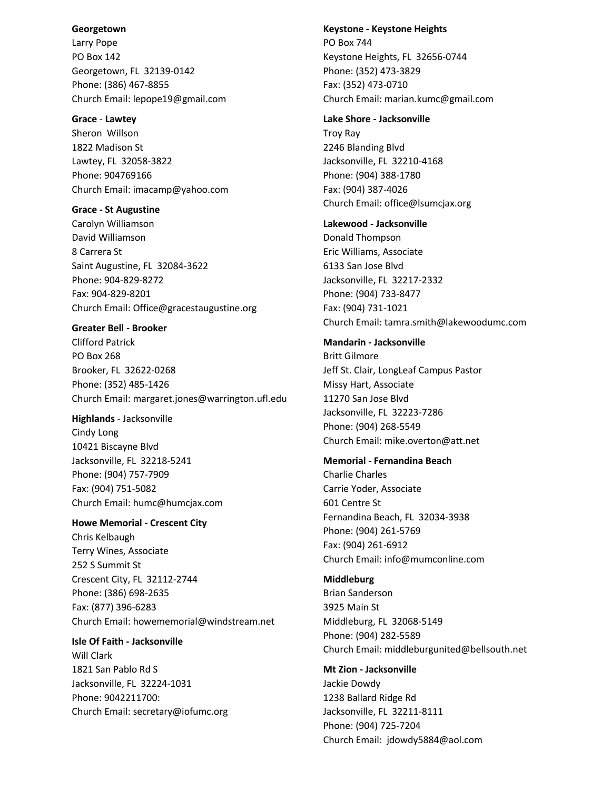### **Georgetown**

Larry Pope PO Box 142 Georgetown, FL 32139-0142 Phone: (386) 467-8855 Church Email: lepope19@gmail.com

### **Grace** - **Lawtey**

Sheron Willson 1822 Madison St Lawtey, FL 32058-3822 Phone: 904769166 Church Email: imacamp@yahoo.com

### **Grace - St Augustine**

Carolyn Williamson David Williamson 8 Carrera St Saint Augustine, FL 32084-3622 Phone: 904-829-8272 Fax: 904-829-8201 Church Email: Office@gracestaugustine.org

### **Greater Bell - Brooker**

Clifford Patrick PO Box 268 Brooker, FL 32622-0268 Phone: (352) 485-1426 Church Email: margaret.jones@warrington.ufl.edu

# **Highlands** - Jacksonville

Cindy Long 10421 Biscayne Blvd Jacksonville, FL 32218-5241 Phone: (904) 757-7909 Fax: (904) 751-5082 Church Email: humc@humcjax.com

### **Howe Memorial - Crescent City**

Chris Kelbaugh Terry Wines, Associate 252 S Summit St Crescent City, FL 32112-2744 Phone: (386) 698-2635 Fax: (877) 396-6283 Church Email: [howememorial@windstream.net](mailto:howememorial@windstream.net)

# **Isle Of Faith - Jacksonville** Will Clark 1821 San Pablo Rd S Jacksonville, FL 32224-1031 Phone: 9042211700: Church Email: secretary@iofumc.org

### **Keystone - Keystone Heights**

PO Box 744 Keystone Heights, FL 32656-0744 Phone: (352) 473-3829 Fax: (352) 473-0710 Church Email: marian.kumc@gmail.com

### **Lake Shore - Jacksonville**

Troy Ray 2246 Blanding Blvd Jacksonville, FL 32210-4168 Phone: (904) 388-1780 Fax: (904) 387-4026 Church Email: office@lsumcjax.org

### **Lakewood - Jacksonville**

Donald Thompson Eric Williams, Associate 6133 San Jose Blvd Jacksonville, FL 32217-2332 Phone: (904) 733-8477 Fax: (904) 731-1021 Church Email: tamra.smith@lakewoodumc.com

### **Mandarin - Jacksonville**

Britt Gilmore Jeff St. Clair, LongLeaf Campus Pastor Missy Hart, Associate 11270 San Jose Blvd Jacksonville, FL 32223-7286 Phone: (904) 268-5549 Church Email: [mike.overton@att.net](mailto:mike.overton@att.net)

### **Memorial - Fernandina Beach**

Charlie Charles Carrie Yoder, Associate 601 Centre St Fernandina Beach, FL 32034-3938 Phone: (904) 261-5769 Fax: (904) 261-6912 Church Email: info@mumconline.com

### **Middleburg**

Brian Sanderson 3925 Main St Middleburg, FL 32068-5149 Phone: (904) 282-5589 Church Email: middleburgunited@bellsouth.net

# **Mt Zion - Jacksonville**

Jackie Dowdy 1238 Ballard Ridge Rd Jacksonville, FL 32211-8111 Phone: (904) 725-7204 Church Email: jdowdy5884@aol.com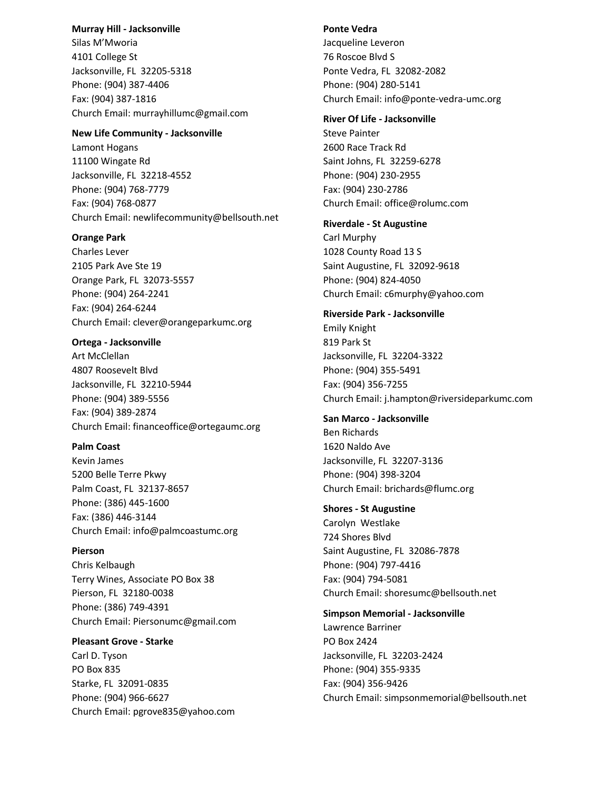### **Murray Hill - Jacksonville**

Silas M'Mworia 4101 College St Jacksonville, FL 32205-5318 Phone: (904) 387-4406 Fax: (904) 387-1816 Church Email: murrayhillumc@gmail.com

### **New Life Community - Jacksonville**

Lamont Hogans 11100 Wingate Rd Jacksonville, FL 32218-4552 Phone: (904) 768-7779 Fax: (904) 768-0877 Church Email: newlifecommunity@bellsouth.net

### **Orange Park**

Charles Lever 2105 Park Ave Ste 19 Orange Park, FL 32073-5557 Phone: (904) 264-2241 Fax: (904) 264-6244 Church Email: clever@orangeparkumc.org

### **Ortega - Jacksonville**

Art McClellan 4807 Roosevelt Blvd Jacksonville, FL 32210-5944 Phone: (904) 389-5556 Fax: (904) 389-2874 Church Email: financeoffice@ortegaumc.org

### **Palm Coast**

Kevin James 5200 Belle Terre Pkwy Palm Coast, FL 32137-8657 Phone: (386) 445-1600 Fax: (386) 446-3144 Church Email: info@palmcoastumc.org

### **Pierson**

Chris Kelbaugh Terry Wines, Associate PO Box 38 Pierson, FL 32180-0038 Phone: (386) 749-4391 Church Email: [Piersonumc@gmail.com](mailto:Piersonumc@gmail.com)

### **Pleasant Grove - Starke**

Carl D. Tyson PO Box 835 Starke, FL 32091-0835 Phone: (904) 966-6627 Church Email: pgrove835@yahoo.com

### **Ponte Vedra**

Jacqueline Leveron 76 Roscoe Blvd S Ponte Vedra, FL 32082-2082 Phone: (904) 280-5141 Church Email: info@ponte-vedra-umc.org

### **River Of Life - Jacksonville**

Steve Painter 2600 Race Track Rd Saint Johns, FL 32259-6278 Phone: (904) 230-2955 Fax: (904) 230-2786 Church Email: office@rolumc.com

### **Riverdale - St Augustine**

Carl Murphy 1028 County Road 13 S Saint Augustine, FL 32092-9618 Phone: (904) 824-4050 Church Email: c6murphy@yahoo.com

### **Riverside Park - Jacksonville**

Emily Knight 819 Park St Jacksonville, FL 32204-3322 Phone: (904) 355-5491 Fax: (904) 356-7255 Church Email: j.hampton@riversideparkumc.com

### **San Marco - Jacksonville**

Ben Richards 1620 Naldo Ave Jacksonville, FL 32207-3136 Phone: (904) 398-3204 Church Email: brichards@flumc.org

## **Shores - St Augustine**

Carolyn Westlake 724 Shores Blvd Saint Augustine, FL 32086-7878 Phone: (904) 797-4416 Fax: (904) 794-5081 Church Email: shoresumc@bellsouth.net

### **Simpson Memorial - Jacksonville**

Lawrence Barriner PO Box 2424 Jacksonville, FL 32203-2424 Phone: (904) 355-9335 Fax: (904) 356-9426 Church Email: simpsonmemorial@bellsouth.net